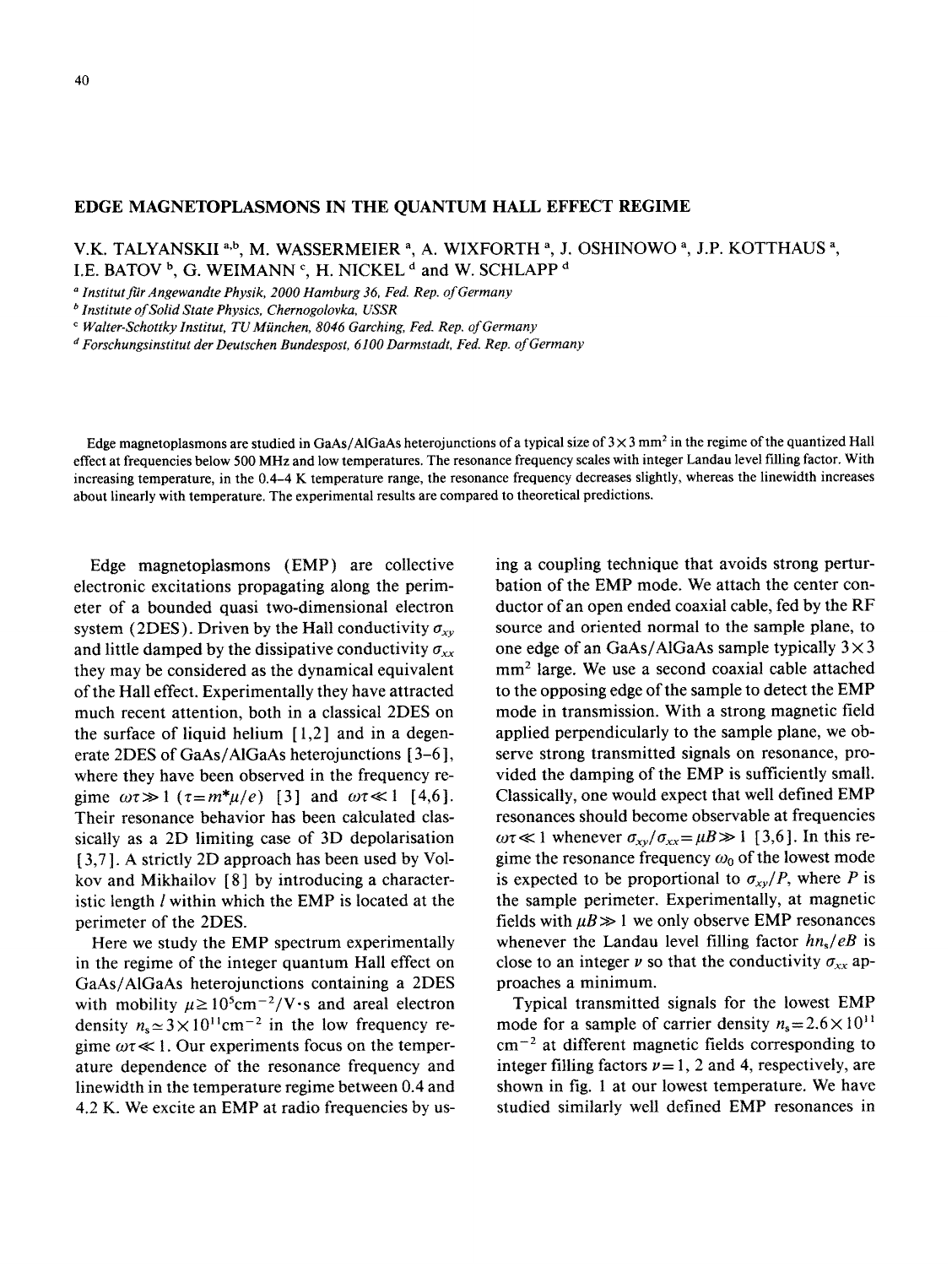## **EDGE MAGNETOPLASMONS IN THE QUANTUM HALL EFFECT REGIME**

V.K. TALYANSKII <sup>a,b</sup>, M. WASSERMEIER <sup>a</sup>, A. WIXFORTH <sup>a</sup>, J. OSHINOWO <sup>a</sup>, J.P. KOTTHAUS <sup>a</sup>, I.E. BATOV  $\frac{b}{c}$ , G. WEIMANN  $\frac{c}{c}$ , H. NICKEL  $\frac{d}{c}$  and W. SCHLAPP  $\frac{d}{c}$ 

a *Institutfu'rAngewandtePhysik,2000 Hamburg 36, Fed. Rep. of Germany*

*b* Institute of Solid State Physics, Chernogolovka, USSR

*' falter-SchottkyInstitut,TU~~nchen, 8046 Garching,Fed. Rep. of Germany*

*dFors~hungs~nstitudter Deuts~henBundespost,6100 Darmstadt,Fed. Rep.* ofGermany

Edge magnetoplasmons are studied in GaAs/AIGaAs heterojunctions of a typical size of  $3 \times 3$  mm<sup>2</sup> in the regime of the quantized Hall effect at frequencies below 500 MHz and low temperatures. The resonance frequency scales with integer Landau level filling factor. With increasing temperature, in the 0.4-4 K temperature range, the resonance frequency decreases slightly, whereas the linewidth increases about linearly with temperature. The experimental results are compared to theoretical predictions.

Edge magnetoplasmons (EMP) are collective electronic excitations propagating along the perimeter of a bounded quasi two-dimensional electron system (2DES). Driven by the Hall conductivity  $\sigma_{xy}$ and little damped by the dissipative conductivity  $\sigma_{xx}$ they may be considered as the dynamical equivalent of the Hall effect. Experimentally they have attracted much recent attention, both in a classical 2DES on the surface of liquid helium  $[1,2]$  and in a degenerate 2DES of GaAs/AlGaAs heterojunctions [3–6], where they have been observed in the frequency regime  $\omega \tau \gg 1$  ( $\tau = m^* \mu / e$ ) [3] and  $\omega \tau \ll 1$  [4,6]. Their resonance behavior has been calculated classically as a 2D limiting case of 3D depolarisation [3,7]. A strictly 2D approach has been used by Volkov and Mikhailov  $[8]$  by introducing a characteristic length *l* within which the EMP is located at the perimeter of the 2DES.

Here we study the EMP spectrum experimentally in the regime of the integer quantum Hall effect on GaAs/AlGaAs heterojunctions containing a 2DES with mobility  $\mu \ge 10^5$ cm<sup>-2</sup>/V·s and areal electron density  $n_s \approx 3 \times 10^{11} \text{cm}^{-2}$  in the low frequency regime  $\omega \tau \ll 1$ . Our experiments focus on the temperature dependence of the resonance frequency and linewidth in the temperature regime between 0.4 and 4.2 K. We excite an EMP at radio frequencies by us-

ing a coupling technique that avoids strong perturbation of the EMP mode. We attach the center conductor of an open ended coaxial cable, fed by the RF source and oriented normal to the sample plane, to one edge of an GaAs/AlGaAs sample typically  $3 \times 3$ mm<sup>2</sup> large. We use a second coaxial cable attached to the opposing edge of the sample to detect the EMP mode in transmission. With a strong magnetic field applied perpendicularly to the sample plane, we observe strong transmitted signals on resonance, provided the damping of the EMP is sufficiently small. Classically, one would expect that well defined EMP resonances should become observable at frequencies  $\omega \tau \ll 1$  whenever  $\sigma_{xy}/\sigma_{xx} = \mu B \gg 1$  [3,6]. In this regime the resonance frequency  $\omega_0$  of the lowest mode is expected to be proportional to  $\sigma_{xy}/P$ , where P is the sample perimeter. Experimentally, at magnetic fields with  $\mu B \gg 1$  we only observe EMP resonances whenever the Landau level filling factor  $hn_s/eB$  is close to an integer  $\nu$  so that the conductivity  $\sigma_{xx}$  approaches a minimum.

Typical transmitted signals for the lowest EMP mode for a sample of carrier density  $n_s = 2.6 \times 10^{11}$  $cm^{-2}$  at different magnetic fields corresponding to integer filling factors  $\nu = 1$ , 2 and 4, respectively, are shown in fig. 1 at our lowest temperature. We have studied similarly well defined EMP resonances in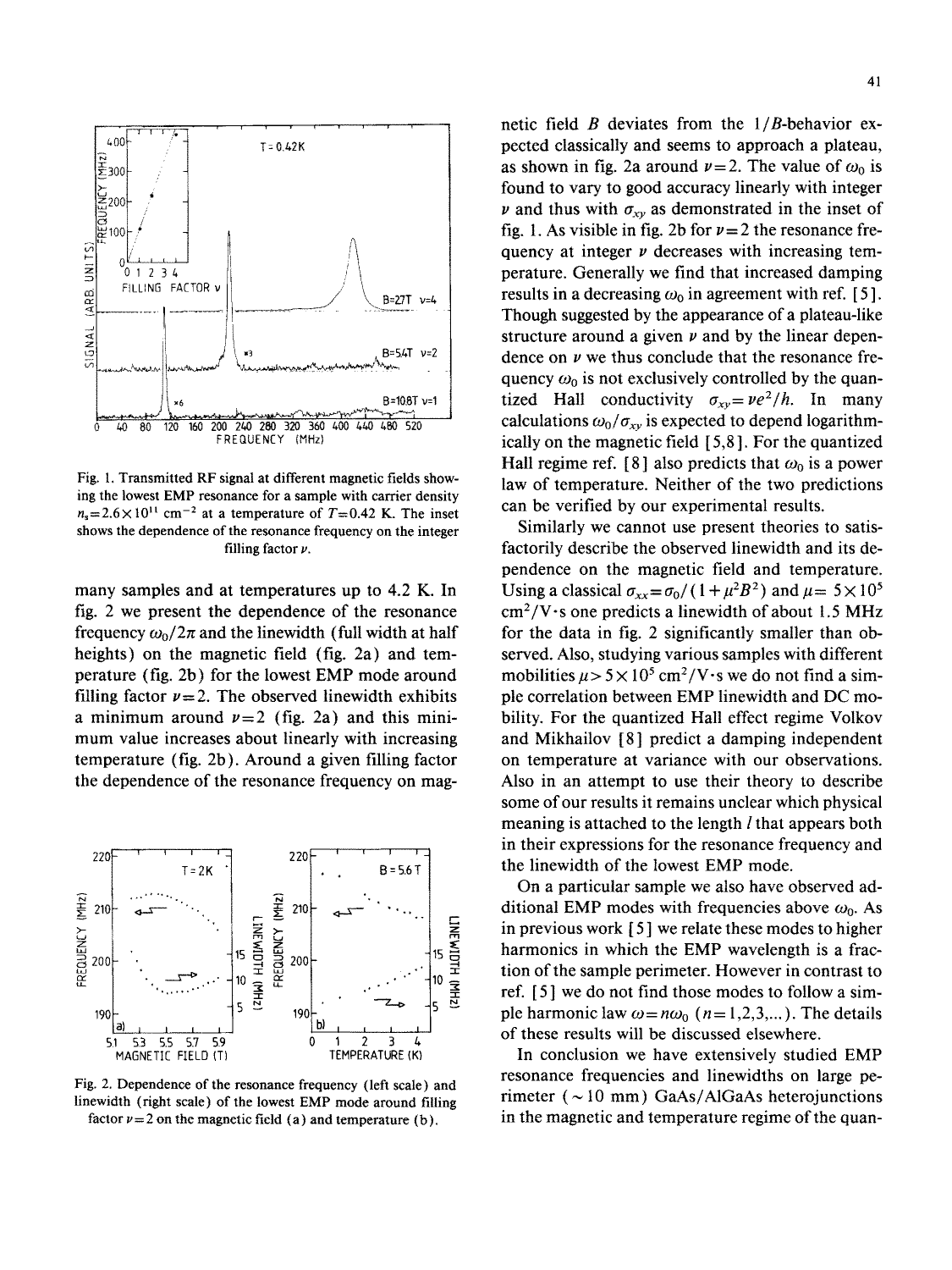

Fig. 1. Transmitted RF signal at different magnetic fields showing the lowest EMP resonance for a sample with carrier density  $n_s = 2.6 \times 10^{11}$  cm<sup>-2</sup> at a temperature of  $T = 0.42$  K. The inset shows the dependence of the resonance frequency on the integer filling factor  $\nu$ .

many samples and at temperatures up to 4.2 K. In fig. 2 we present the dependence of the resonance frequency  $\omega_0/2\pi$  and the linewidth (full width at half heights) on the magnetic field (fig. 2a) and temperature (fig. 2b) for the lowest EMP mode around filling factor  $\nu=2$ . The observed linewidth exhibits a minimum around  $\nu=2$  (fig. 2a) and this minimum value increases about linearly with increasing temperature (fig. 2b). Around a given tilling factor the dependence of the resonance frequency on mag-



Fig. 2. Dependence of the resonance frequency (left scale) and linewidth (right scale) of the lowest EMP mode around filling factor  $\nu = 2$  on the magnetic field (a) and temperature (b).

netic field  $B$  deviates from the  $1/B$ -behavior expected classically and seems to approach a plateau, as shown in fig. 2a around  $\nu=2$ . The value of  $\omega_0$  is found to vary to good accuracy linearly with integer  $\nu$  and thus with  $\sigma_{\chi\nu}$  as demonstrated in the inset of fig. 1. As visible in fig. 2b for  $\nu=2$  the resonance frequency at integer  $\nu$  decreases with increasing temperature. Generally we find that increased damping results in a decreasing  $\omega_0$  in agreement with ref. [5]. Though suggested by the appearance of a plateau-like structure around a given  $\nu$  and by the linear dependence on  $\nu$  we thus conclude that the resonance frequency  $\omega_0$  is not exclusively controlled by the quantized Hall conductivity  $\sigma_{xy} = \nu e^2/h$ . In many calculations  $\omega_0/\sigma_{xy}$  is expected to depend logarithmically on the magnetic field [ 5,8]. For the quantized Hall regime ref. [8] also predicts that  $\omega_0$  is a power law of temperature. Neither of the two predictions can be verified by our experimental results.

Similarly we cannot use present theories to satisfactorily describe the observed linewidth and its dependence on the magnetic field and temperature. Using a classical  $\sigma_{xx} = \sigma_0/(1+\mu^2B^2)$  and  $\mu = 5 \times 10^5$  $\text{cm}^2/\text{V}\cdot\text{s}$  one predicts a linewidth of about 1.5 MHz for the data in fig. 2 significantly smaller than observed. Also, studying various samples with different mobilities  $\mu$  > 5 × 10<sup>5</sup> cm<sup>2</sup>/V·s we do not find a simple correlation between EMP linewidth and DC mobility. For the quantized Hall effect regime Volkov and Mikhailov [8] predict a damping independent on temperature at variance with our observations. Also in an attempt to use their theory to describe some of our results it remains unclear which physical meaning is attached to the length *l* that appears both in their expressions for the resonance frequency and the linewidth of the lowest EMP mode.

On a particular sample we also have observed additional EMP modes with frequencies above  $\omega_0$ . As in previous work  $[5]$  we relate these modes to higher harmonics in which the EMP wavelength is a fraction of the sample perimeter. However in contrast to ref. [5] we do not find those modes to follow a simple harmonic law  $\omega = n\omega_0$  (n = 1,2,3,...). The details of these results will be discussed elsewhere.

In conclusion we have extensively studied EMP resonance frequencies and linewidths on large perimeter ( $\sim$ 10 mm) GaAs/AlGaAs heterojunctions in the magnetic and temperature regime of the quan